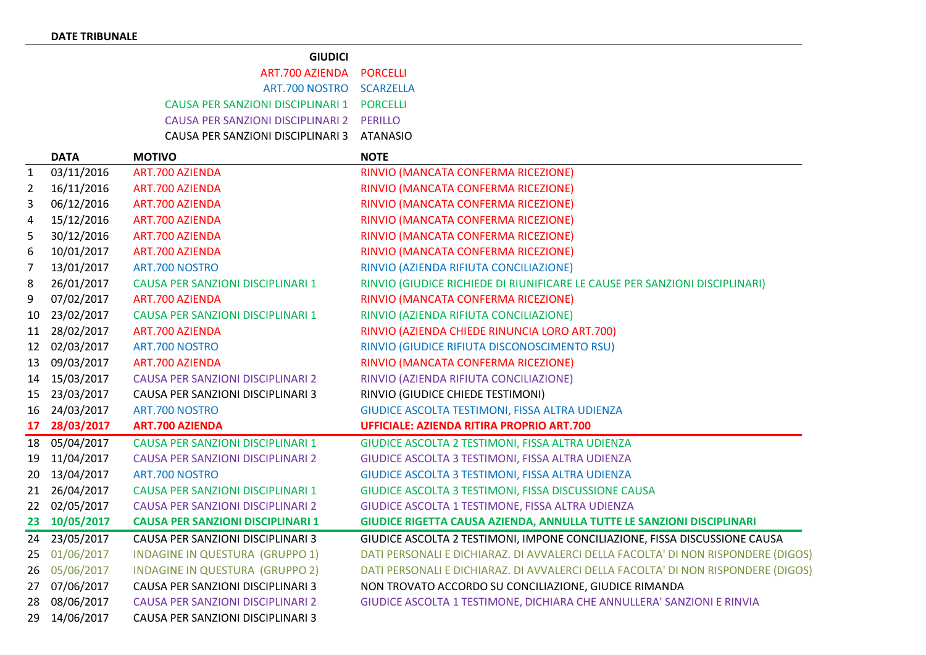## **GIUDICI**

| ART.700 AZIENDA PORCELLI                   |  |
|--------------------------------------------|--|
| ART.700 NOSTRO SCARZELLA                   |  |
| CAUSA PER SANZIONI DISCIPLINARI 1 PORCELLI |  |
| CAUSA PER SANZIONI DISCIPLINARI 2 PERILLO  |  |
| CAUSA PER SANZIONI DISCIPLINARI 3 ATANASIO |  |

|                | <b>DATA</b> | <b>MOTIVO</b>                            | <b>NOTE</b>                                                                       |
|----------------|-------------|------------------------------------------|-----------------------------------------------------------------------------------|
| 1              | 03/11/2016  | ART.700 AZIENDA                          | RINVIO (MANCATA CONFERMA RICEZIONE)                                               |
| $\overline{2}$ | 16/11/2016  | <b>ART.700 AZIENDA</b>                   | RINVIO (MANCATA CONFERMA RICEZIONE)                                               |
| 3              | 06/12/2016  | <b>ART.700 AZIENDA</b>                   | RINVIO (MANCATA CONFERMA RICEZIONE)                                               |
| 4              | 15/12/2016  | <b>ART.700 AZIENDA</b>                   | RINVIO (MANCATA CONFERMA RICEZIONE)                                               |
| 5              | 30/12/2016  | <b>ART.700 AZIENDA</b>                   | RINVIO (MANCATA CONFERMA RICEZIONE)                                               |
| 6              | 10/01/2017  | <b>ART.700 AZIENDA</b>                   | RINVIO (MANCATA CONFERMA RICEZIONE)                                               |
| 7              | 13/01/2017  | ART.700 NOSTRO                           | RINVIO (AZIENDA RIFIUTA CONCILIAZIONE)                                            |
| 8              | 26/01/2017  | <b>CAUSA PER SANZIONI DISCIPLINARI 1</b> | RINVIO (GIUDICE RICHIEDE DI RIUNIFICARE LE CAUSE PER SANZIONI DISCIPLINARI)       |
| 9              | 07/02/2017  | <b>ART.700 AZIENDA</b>                   | RINVIO (MANCATA CONFERMA RICEZIONE)                                               |
| 10             | 23/02/2017  | CAUSA PER SANZIONI DISCIPLINARI 1        | RINVIO (AZIENDA RIFIUTA CONCILIAZIONE)                                            |
| 11             | 28/02/2017  | <b>ART.700 AZIENDA</b>                   | RINVIO (AZIENDA CHIEDE RINUNCIA LORO ART.700)                                     |
| 12             | 02/03/2017  | ART.700 NOSTRO                           | RINVIO (GIUDICE RIFIUTA DISCONOSCIMENTO RSU)                                      |
| 13             | 09/03/2017  | ART.700 AZIENDA                          | RINVIO (MANCATA CONFERMA RICEZIONE)                                               |
| 14             | 15/03/2017  | <b>CAUSA PER SANZIONI DISCIPLINARI 2</b> | RINVIO (AZIENDA RIFIUTA CONCILIAZIONE)                                            |
| 15             | 23/03/2017  | CAUSA PER SANZIONI DISCIPLINARI 3        | RINVIO (GIUDICE CHIEDE TESTIMONI)                                                 |
| 16             | 24/03/2017  | ART.700 NOSTRO                           | GIUDICE ASCOLTA TESTIMONI, FISSA ALTRA UDIENZA                                    |
| 17             | 28/03/2017  | <b>ART.700 AZIENDA</b>                   | <b>UFFICIALE: AZIENDA RITIRA PROPRIO ART.700</b>                                  |
| 18             | 05/04/2017  | <b>CAUSA PER SANZIONI DISCIPLINARI 1</b> | GIUDICE ASCOLTA 2 TESTIMONI, FISSA ALTRA UDIENZA                                  |
| 19             | 11/04/2017  | <b>CAUSA PER SANZIONI DISCIPLINARI 2</b> | GIUDICE ASCOLTA 3 TESTIMONI, FISSA ALTRA UDIENZA                                  |
| 20             | 13/04/2017  | ART.700 NOSTRO                           | GIUDICE ASCOLTA 3 TESTIMONI, FISSA ALTRA UDIENZA                                  |
| 21             | 26/04/2017  | <b>CAUSA PER SANZIONI DISCIPLINARI 1</b> | GIUDICE ASCOLTA 3 TESTIMONI, FISSA DISCUSSIONE CAUSA                              |
| 22             | 02/05/2017  | <b>CAUSA PER SANZIONI DISCIPLINARI 2</b> | GIUDICE ASCOLTA 1 TESTIMONE, FISSA ALTRA UDIENZA                                  |
| 23             | 10/05/2017  | <b>CAUSA PER SANZIONI DISCIPLINARI 1</b> | GIUDICE RIGETTA CAUSA AZIENDA, ANNULLA TUTTE LE SANZIONI DISCIPLINARI             |
| 24             | 23/05/2017  | CAUSA PER SANZIONI DISCIPLINARI 3        | GIUDICE ASCOLTA 2 TESTIMONI, IMPONE CONCILIAZIONE, FISSA DISCUSSIONE CAUSA        |
| 25             | 01/06/2017  | <b>INDAGINE IN QUESTURA (GRUPPO 1)</b>   | DATI PERSONALI E DICHIARAZ. DI AVVALERCI DELLA FACOLTA' DI NON RISPONDERE (DIGOS) |
| 26             | 05/06/2017  | <b>INDAGINE IN QUESTURA (GRUPPO 2)</b>   | DATI PERSONALI E DICHIARAZ. DI AVVALERCI DELLA FACOLTA' DI NON RISPONDERE (DIGOS) |
| 27             | 07/06/2017  | CAUSA PER SANZIONI DISCIPLINARI 3        | NON TROVATO ACCORDO SU CONCILIAZIONE, GIUDICE RIMANDA                             |
| 28             | 08/06/2017  | <b>CAUSA PER SANZIONI DISCIPLINARI 2</b> | GIUDICE ASCOLTA 1 TESTIMONE, DICHIARA CHE ANNULLERA' SANZIONI E RINVIA            |
| 29             | 14/06/2017  | CAUSA PER SANZIONI DISCIPLINARI 3        |                                                                                   |